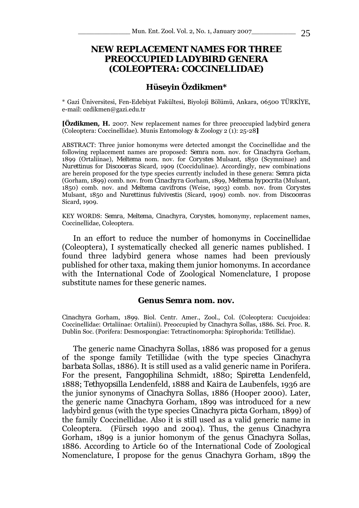# **NEW REPLACEMENT NAMES FOR THREE PREOCCUPIED LADYBIRD GENERA (COLEOPTERA: COCCINELLIDAE)**

#### **Hüseyin Özdikmen\***

\* Gazi Üniversitesi, Fen-Edebiyat Fakültesi, Biyoloji Bölümü, Ankara, 06500 TÜRKİYE, e-mail: ozdikmen@gazi.edu.tr

**[Özdikmen, H.** 2007. New replacement names for three preoccupied ladybird genera (Coleoptera: Coccinellidae). Munis Entomology & Zoology 2 (1): 25-28**]** 

ABSTRACT: Three junior homonyms were detected amongst the Coccinellidae and the following replacement names are proposed: *Semra* nom. nov. for *Cinachyra* Gorham, 1899 (Ortaliinae), *Meltema* nom. nov. for *Corystes* Mulsant, 1850 (Scymninae) and *Nurettinus* for *Discoceras* Sicard, 1909 (Coccidulinae). Accordingly, new combinations are herein proposed for the type species currently included in these genera: *Semra picta*  (Gorham, 1899) comb. nov. from *Cinachyra* Gorham, 1899, *Meltema hypocrita* (Mulsant, 1850) comb. nov. and *Meltema cavifrons* (Weise, 1903) comb. nov. from *Corystes*  Mulsant, 1850 and *Nurettinus fulvivestis* (Sicard, 1909) comb. nov. from *Discoceras*  Sicard, 1909.

KEY WORDS: *Semra, Meltema, Cinachyra, Corystes,* homonymy, replacement names, Coccinellidae, Coleoptera.

In an effort to reduce the number of homonyms in Coccinellidae (Coleoptera), I systematically checked all generic names published. I found three ladybird genera whose names had been previously published for other taxa, making them junior homonyms. In accordance with the International Code of Zoological Nomenclature, I propose substitute names for these generic names.

#### **Genus** *Semra* **nom. nov.**

*Cinachyra* Gorham, 1899. Biol. Centr. Amer., Zool., Col. (Coleoptera: Cucujoidea: Coccinellidae: Ortaliinae: Ortaliini). Preoccupied by *Cinachyra* Sollas, 1886. Sci. Proc. R. Dublin Soc. (Porifera: Desmospongiae: Tetractinomorpha: Spirophorida: Tetillidae).

The generic name *Cinachyra* Sollas, 1886 was proposed for a genus of the sponge family Tetillidae (with the type species *Cinachyra barbata* Sollas, 1886). It is still used as a valid generic name in Porifera. For the present, *Fangophilina* Schmidt, 1880; *Spiretta* Lendenfeld, 1888; *Tethyopsilla* Lendenfeld, 1888 and *Kaira* de Laubenfels, 1936 are the junior synonyms of *Cinachyra* Sollas, 1886 (Hooper 2000). Later, the generic name *Cinachyra* Gorham, 1899 was introduced for a new ladybird genus (with the type species *Cinachyra picta* Gorham, 1899) of the family Coccinellidae. Also it is still used as a valid generic name in Coleoptera. (Fürsch 1990 and 2004). Thus, the genus *Cinachyra*  Gorham, 1899 is a junior homonym of the genus *Cinachyra* Sollas, 1886. According to Article 60 of the International Code of Zoological Nomenclature, I propose for the genus *Cinachyra* Gorham, 1899 the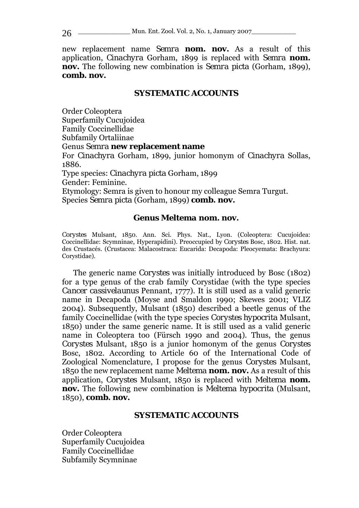26 \_\_\_\_\_\_\_\_\_\_\_\_\_\_\_\_ Mun. Ent. Zool. Vol. 2, No. 1, January 2007

new replacement name *Semra* **nom. nov.** As a result of this application, *Cinachyra* Gorham, 1899 is replaced with *Semra* **nom. nov.** The following new combination is *Semra picta* (Gorham, 1899), **comb. nov.** 

#### **SYSTEMATIC ACCOUNTS**

Order Coleoptera Superfamily Cucujoidea Family Coccinellidae Subfamily Ortaliinae

Genus *Semra* **new replacement name** 

For *Cinachyra* Gorham, 1899, junior homonym of *Cinachyra* Sollas, 1886.

Type species: *Cinachyra picta* Gorham, 1899

Gender: Feminine.

Etymology: Semra is given to honour my colleague Semra Turgut. Species *Semra picta* (Gorham, 1899) **comb. nov.** 

#### **Genus** *Meltema* **nom. nov.**

*Corystes* Mulsant, 1850. Ann. Sci. Phys. Nat., Lyon. (Coleoptera: Cucujoidea: Coccinellidae: Scymninae, Hyperapidini). Preoccupied by *Corystes* Bosc, 1802. Hist. nat. des Crustacés. (Crustacea: Malacostraca: Eucarida: Decapoda: Pleocyemata: Brachyura: Corystidae).

The generic name *Corystes* was initially introduced by Bosc (1802) for a type genus of the crab family Corystidae (with the type species *Cancer cassivelaunus* Pennant, 1777). It is still used as a valid generic name in Decapoda (Moyse and Smaldon 1990; Skewes 2001; VLIZ 2004). Subsequently, Mulsant (1850) described a beetle genus of the family Coccinellidae (with the type species *Corystes hypocrita* Mulsant, 1850) under the same generic name. It is still used as a valid generic name in Coleoptera too (Fürsch 1990 and 2004). Thus, the genus *Corystes* Mulsant, 1850 is a junior homonym of the genus *Corystes*  Bosc, 1802. According to Article 60 of the International Code of Zoological Nomenclature, I propose for the genus *Corystes* Mulsant, 1850 the new replacement name *Meltema* **nom. nov.** As a result of this application, *Corystes* Mulsant, 1850 is replaced with *Meltema* **nom. nov.** The following new combination is *Meltema hypocrita* (Mulsant, 1850), **comb. nov.** 

## **SYSTEMATIC ACCOUNTS**

Order Coleoptera Superfamily Cucujoidea Family Coccinellidae Subfamily Scymninae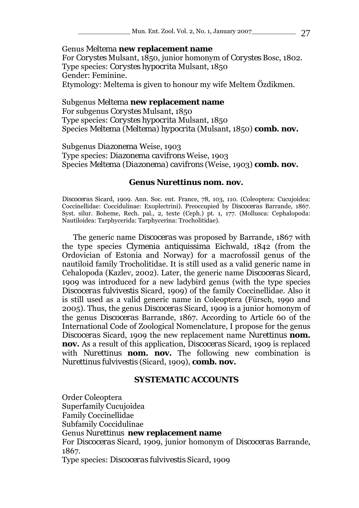\_\_\_\_\_\_\_\_\_\_\_\_\_ Mun. Ent. Zool. Vol. 2, No. 1, January 2007\_\_\_\_\_\_\_\_\_\_\_ 27

Genus *Meltema* **new replacement name**  For *Corystes* Mulsant, 1850, junior homonym of *Corystes* Bosc, 1802. Type species: *Corystes hypocrita* Mulsant, 1850 Gender: Feminine. Etymology: Meltema is given to honour my wife Meltem Özdikmen.

#### Subgenus *Meltema* **new replacement name**

For subgenus *Corystes* Mulsant, 1850 Type species: *Corystes hypocrita* Mulsant, 1850 Species *Meltema* (*Meltema*) *hypocrita* (Mulsant, 1850) **comb. nov.** 

Subgenus *Diazonema* Weise, 1903 Type species: *Diazonema cavifrons* Weise, 1903 Species *Meltema* (*Diazonema*) *cavifrons* (Weise, 1903) **comb. nov.** 

#### **Genus** *Nurettinus* **nom. nov.**

*Discoceras* Sicard, 1909. Ann. Soc. ent. France, 78, 103, 110. (Coleoptera: Cucujoidea: Coccinellidae: Coccidulinae: Exoplectrini). Preoccupied by *Discoceras* Barrande, 1867. Syst. silur. Boheme, Rech. pal., 2, texte (Ceph.) pt. 1, 177. (Mollusca: Cephalopoda: Nautiloidea: Tarphycerida: Tarphycerina: Trocholitidae).

The generic name *Discoceras* was proposed by Barrande, 1867 with the type species *Clymenia antiquissima* Eichwald, 1842 (from the Ordovician of Estonia and Norway) for a macrofossil genus of the nautiloid family Trocholitidae. It is still used as a valid generic name in Cehalopoda (Kazlev, 2002). Later, the generic name *Discoceras* Sicard, 1909 was introduced for a new ladybird genus (with the type species *Discoceras fulvivestis* Sicard, 1909) of the family Coccinellidae. Also it is still used as a valid generic name in Coleoptera (Fürsch, 1990 and 2005). Thus, the genus *Discoceras* Sicard, 1909 is a junior homonym of the genus *Discoceras* Barrande, 1867. According to Article 60 of the International Code of Zoological Nomenclature, I propose for the genus *Discoceras* Sicard, 1909 the new replacement name *Nurettinus* **nom. nov.** As a result of this application, *Discoceras* Sicard, 1909 is replaced with *Nurettinus* **nom. nov.** The following new combination is *Nurettinus fulvivestis* (Sicard, 1909), **comb. nov.** 

## **SYSTEMATIC ACCOUNTS**

Order Coleoptera Superfamily Cucujoidea Family Coccinellidae Subfamily Coccidulinae Genus *Nurettinus* **new replacement name**  For *Discoceras* Sicard, 1909, junior homonym of *Discoceras* Barrande, 1867. Type species: *Discoceras fulvivestis* Sicard, 1909